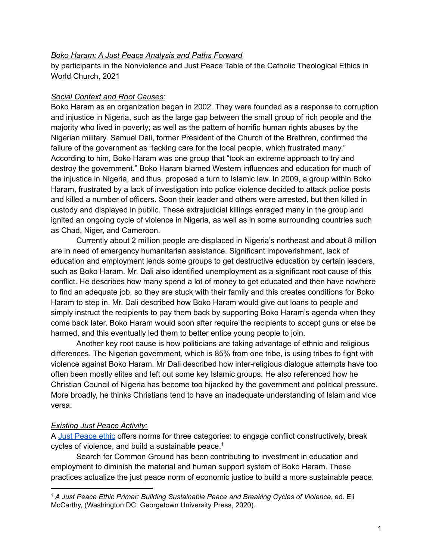### *Boko Haram: A Just Peace Analysis and Paths Forward*

by participants in the Nonviolence and Just Peace Table of the Catholic Theological Ethics in World Church, 2021

# *Social Context and Root Causes:*

Boko Haram as an organization began in 2002. They were founded as a response to corruption and injustice in Nigeria, such as the large gap between the small group of rich people and the majority who lived in poverty; as well as the pattern of horrific human rights abuses by the Nigerian military. Samuel Dali, former President of the Church of the Brethren, confirmed the failure of the government as "lacking care for the local people, which frustrated many." According to him, Boko Haram was one group that "took an extreme approach to try and destroy the government." Boko Haram blamed Western influences and education for much of the injustice in Nigeria, and thus, proposed a turn to Islamic law. In 2009, a group within Boko Haram, frustrated by a lack of investigation into police violence decided to attack police posts and killed a number of officers. Soon their leader and others were arrested, but then killed in custody and displayed in public. These extrajudicial killings enraged many in the group and ignited an ongoing cycle of violence in Nigeria, as well as in some surrounding countries such as Chad, Niger, and Cameroon.

Currently about 2 million people are displaced in Nigeria's northeast and about 8 million are in need of emergency humanitarian assistance. Significant impoverishment, lack of education and employment lends some groups to get destructive education by certain leaders, such as Boko Haram. Mr. Dali also identified unemployment as a significant root cause of this conflict. He describes how many spend a lot of money to get educated and then have nowhere to find an adequate job, so they are stuck with their family and this creates conditions for Boko Haram to step in. Mr. Dali described how Boko Haram would give out loans to people and simply instruct the recipients to pay them back by supporting Boko Haram's agenda when they come back later. Boko Haram would soon after require the recipients to accept guns or else be harmed, and this eventually led them to better entice young people to join.

Another key root cause is how politicians are taking advantage of ethnic and religious differences. The Nigerian government, which is 85% from one tribe, is using tribes to fight with violence against Boko Haram. Mr Dali described how inter-religious dialogue attempts have too often been mostly elites and left out some key Islamic groups. He also referenced how he Christian Council of Nigeria has become too hijacked by the government and political pressure. More broadly, he thinks Christians tend to have an inadequate understanding of Islam and vice versa.

# *Existing Just Peace Activity:*

A Just [Peace](https://docs.google.com/document/d/1NjXUsae6iuaGt0BNhpwAZKXMMZHW_aC19kXYmJgLVqk/edit?usp=sharing) ethic offers norms for three categories: to engage conflict constructively, break cycles of violence, and build a sustainable peace. $^1$ 

Search for Common Ground has been contributing to investment in education and employment to diminish the material and human support system of Boko Haram. These practices actualize the just peace norm of economic justice to build a more sustainable peace.

<sup>1</sup> *A Just Peace Ethic Primer: Building Sustainable Peace and Breaking Cycles of Violence*, ed. Eli McCarthy, (Washington DC: Georgetown University Press, 2020).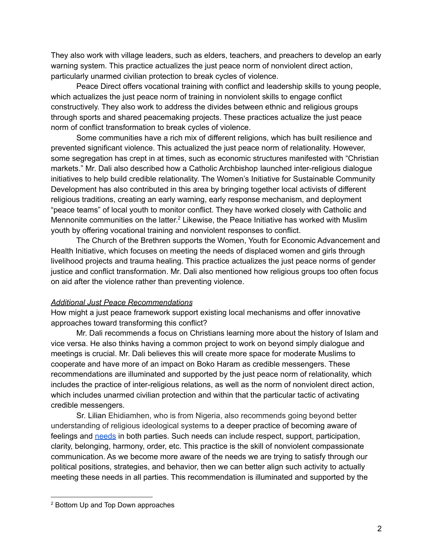They also work with village leaders, such as elders, teachers, and preachers to develop an early warning system. This practice actualizes the just peace norm of nonviolent direct action, particularly unarmed civilian protection to break cycles of violence.

Peace Direct offers vocational training with conflict and leadership skills to young people, which actualizes the just peace norm of training in nonviolent skills to engage conflict constructively. They also work to address the divides between ethnic and religious groups through sports and shared peacemaking projects. These practices actualize the just peace norm of conflict transformation to break cycles of violence.

Some communities have a rich mix of different religions, which has built resilience and prevented significant violence. This actualized the just peace norm of relationality. However, some segregation has crept in at times, such as economic structures manifested with "Christian markets." Mr. Dali also described how a Catholic Archbishop launched inter-religious dialogue initiatives to help build credible relationality. The Women's Initiative for Sustainable Community Development has also contributed in this area by bringing together local activists of different religious traditions, creating an early warning, early response mechanism, and deployment "peace teams" of local youth to monitor conflict. They have worked closely with Catholic and Mennonite communities on the latter.<sup>2</sup> Likewise, the Peace Initiative has worked with Muslim youth by offering vocational training and nonviolent responses to conflict.

The Church of the Brethren supports the Women, Youth for Economic Advancement and Health Initiative, which focuses on meeting the needs of displaced women and girls through livelihood projects and trauma healing. This practice actualizes the just peace norms of gender justice and conflict transformation. Mr. Dali also mentioned how religious groups too often focus on aid after the violence rather than preventing violence.

# *Additional Just Peace Recommendations*

How might a just peace framework support existing local mechanisms and offer innovative approaches toward transforming this conflict?

Mr. Dali recommends a focus on Christians learning more about the history of Islam and vice versa. He also thinks having a common project to work on beyond simply dialogue and meetings is crucial. Mr. Dali believes this will create more space for moderate Muslims to cooperate and have more of an impact on Boko Haram as credible messengers. These recommendations are illuminated and supported by the just peace norm of relationality, which includes the practice of inter-religious relations, as well as the norm of nonviolent direct action, which includes unarmed civilian protection and within that the particular tactic of activating credible messengers.

Sr. Lilian Ehidiamhen, who is from Nigeria, also recommends going beyond better understanding of religious ideological systems to a deeper practice of becoming aware of feelings and [needs](https://drive.google.com/file/d/1K6SYbmS-5CIMQUC9wd09g2cUG8slsywk/view?usp=sharing) in both parties. Such needs can include respect, support, participation, clarity, belonging, harmony, order, etc. This practice is the skill of nonviolent compassionate communication. As we become more aware of the needs we are trying to satisfy through our political positions, strategies, and behavior, then we can better align such activity to actually meeting these needs in all parties. This recommendation is illuminated and supported by the

<sup>2</sup> Bottom Up and Top Down approaches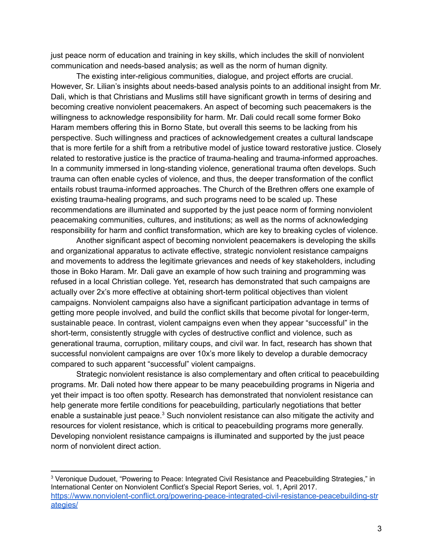just peace norm of education and training in key skills, which includes the skill of nonviolent communication and needs-based analysis; as well as the norm of human dignity.

The existing inter-religious communities, dialogue, and project efforts are crucial. However, Sr. Lilian's insights about needs-based analysis points to an additional insight from Mr. Dali, which is that Christians and Muslims still have significant growth in terms of desiring and becoming creative nonviolent peacemakers. An aspect of becoming such peacemakers is the willingness to acknowledge responsibility for harm. Mr. Dali could recall some former Boko Haram members offering this in Borno State, but overall this seems to be lacking from his perspective. Such willingness and practices of acknowledgement creates a cultural landscape that is more fertile for a shift from a retributive model of justice toward restorative justice. Closely related to restorative justice is the practice of trauma-healing and trauma-informed approaches. In a community immersed in long-standing violence, generational trauma often develops. Such trauma can often enable cycles of violence, and thus, the deeper transformation of the conflict entails robust trauma-informed approaches. The Church of the Brethren offers one example of existing trauma-healing programs, and such programs need to be scaled up. These recommendations are illuminated and supported by the just peace norm of forming nonviolent peacemaking communities, cultures, and institutions; as well as the norms of acknowledging responsibility for harm and conflict transformation, which are key to breaking cycles of violence.

Another significant aspect of becoming nonviolent peacemakers is developing the skills and organizational apparatus to activate effective, strategic nonviolent resistance campaigns and movements to address the legitimate grievances and needs of key stakeholders, including those in Boko Haram. Mr. Dali gave an example of how such training and programming was refused in a local Christian college. Yet, research has demonstrated that such campaigns are actually over 2x's more effective at obtaining short-term political objectives than violent campaigns. Nonviolent campaigns also have a significant participation advantage in terms of getting more people involved, and build the conflict skills that become pivotal for longer-term, sustainable peace. In contrast, violent campaigns even when they appear "successful" in the short-term, consistently struggle with cycles of destructive conflict and violence, such as generational trauma, corruption, military coups, and civil war. In fact, research has shown that successful nonviolent campaigns are over 10x's more likely to develop a durable democracy compared to such apparent "successful" violent campaigns.

Strategic nonviolent resistance is also complementary and often critical to peacebuilding programs. Mr. Dali noted how there appear to be many peacebuilding programs in Nigeria and yet their impact is too often spotty. Research has demonstrated that nonviolent resistance can help generate more fertile conditions for peacebuilding, particularly negotiations that better enable a sustainable just peace.<sup>3</sup> Such nonviolent resistance can also mitigate the activity and resources for violent resistance, which is critical to peacebuilding programs more generally. Developing nonviolent resistance campaigns is illuminated and supported by the just peace norm of nonviolent direct action.

<sup>3</sup> Veronique Dudouet, "Powering to Peace: Integrated Civil Resistance and Peacebuilding Strategies," in International Center on Nonviolent Conflict's Special Report Series, vol. 1, April 2017. [https://www.nonviolent-conflict.org/powering-peace-integrated-civil-resistance-peacebuilding-str](https://www.nonviolent-conflict.org/powering-peace-integrated-civil-resistance-peacebuilding-strategies/) [ategies/](https://www.nonviolent-conflict.org/powering-peace-integrated-civil-resistance-peacebuilding-strategies/)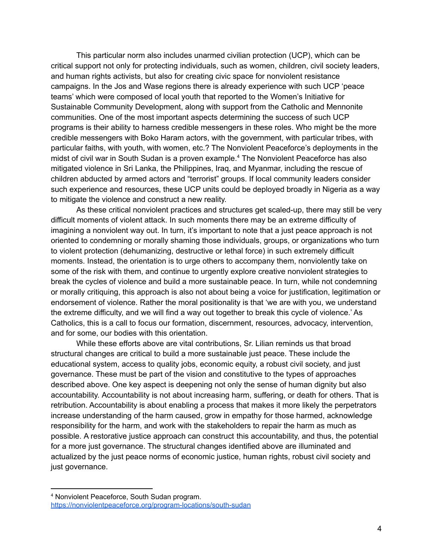This particular norm also includes unarmed civilian protection (UCP), which can be critical support not only for protecting individuals, such as women, children, civil society leaders, and human rights activists, but also for creating civic space for nonviolent resistance campaigns. In the Jos and Wase regions there is already experience with such UCP 'peace teams' which were composed of local youth that reported to the Women's Initiative for Sustainable Community Development, along with support from the Catholic and Mennonite communities. One of the most important aspects determining the success of such UCP programs is their ability to harness credible messengers in these roles. Who might be the more credible messengers with Boko Haram actors, with the government, with particular tribes, with particular faiths, with youth, with women, etc.? The Nonviolent Peaceforce's deployments in the midst of civil war in South Sudan is a proven example. <sup>4</sup> The Nonviolent Peaceforce has also mitigated violence in Sri Lanka, the Philippines, Iraq, and Myanmar, including the rescue of children abducted by armed actors and "terrorist" groups. If local community leaders consider such experience and resources, these UCP units could be deployed broadly in Nigeria as a way to mitigate the violence and construct a new reality.

As these critical nonviolent practices and structures get scaled-up, there may still be very difficult moments of violent attack. In such moments there may be an extreme difficulty of imagining a nonviolent way out. In turn, it's important to note that a just peace approach is not oriented to condemning or morally shaming those individuals, groups, or organizations who turn to violent protection (dehumanizing, destructive or lethal force) in such extremely difficult moments. Instead, the orientation is to urge others to accompany them, nonviolently take on some of the risk with them, and continue to urgently explore creative nonviolent strategies to break the cycles of violence and build a more sustainable peace. In turn, while not condemning or morally critiquing, this approach is also not about being a voice for justification, legitimation or endorsement of violence. Rather the moral positionality is that 'we are with you, we understand the extreme difficulty, and we will find a way out together to break this cycle of violence.' As Catholics, this is a call to focus our formation, discernment, resources, advocacy, intervention, and for some, our bodies with this orientation.

While these efforts above are vital contributions, Sr. Lilian reminds us that broad structural changes are critical to build a more sustainable just peace. These include the educational system, access to quality jobs, economic equity, a robust civil society, and just governance. These must be part of the vision and constitutive to the types of approaches described above. One key aspect is deepening not only the sense of human dignity but also accountability. Accountability is not about increasing harm, suffering, or death for others. That is retribution. Accountability is about enabling a process that makes it more likely the perpetrators increase understanding of the harm caused, grow in empathy for those harmed, acknowledge responsibility for the harm, and work with the stakeholders to repair the harm as much as possible. A restorative justice approach can construct this accountability, and thus, the potential for a more just governance. The structural changes identified above are illuminated and actualized by the just peace norms of economic justice, human rights, robust civil society and just governance.

<sup>4</sup> Nonviolent Peaceforce, South Sudan program. <https://nonviolentpeaceforce.org/program-locations/south-sudan>